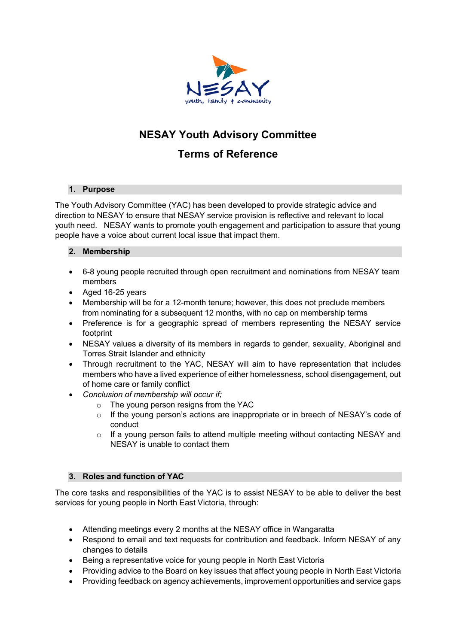

# **NESAY Youth Advisory Committee**

# **Terms of Reference**

# **1. Purpose**

The Youth Advisory Committee (YAC) has been developed to provide strategic advice and direction to NESAY to ensure that NESAY service provision is reflective and relevant to local youth need. NESAY wants to promote youth engagement and participation to assure that young people have a voice about current local issue that impact them.

# **2. Membership**

- 6-8 young people recruited through open recruitment and nominations from NESAY team members
- Aged 16-25 years
- Membership will be for a 12-month tenure; however, this does not preclude members from nominating for a subsequent 12 months, with no cap on membership terms
- Preference is for a geographic spread of members representing the NESAY service footprint
- NESAY values a diversity of its members in regards to gender, sexuality, Aboriginal and Torres Strait Islander and ethnicity
- Through recruitment to the YAC, NESAY will aim to have representation that includes members who have a lived experience of either homelessness, school disengagement, out of home care or family conflict
- *Conclusion of membership will occur if;*
	- o The young person resigns from the YAC
	- $\circ$  If the young person's actions are inappropriate or in breech of NESAY's code of conduct
	- $\circ$  If a young person fails to attend multiple meeting without contacting NESAY and NESAY is unable to contact them

# **3. Roles and function of YAC**

The core tasks and responsibilities of the YAC is to assist NESAY to be able to deliver the best services for young people in North East Victoria, through:

- Attending meetings every 2 months at the NESAY office in Wangaratta
- Respond to email and text requests for contribution and feedback. Inform NESAY of any changes to details
- Being a representative voice for young people in North East Victoria
- Providing advice to the Board on key issues that affect young people in North East Victoria
- Providing feedback on agency achievements, improvement opportunities and service gaps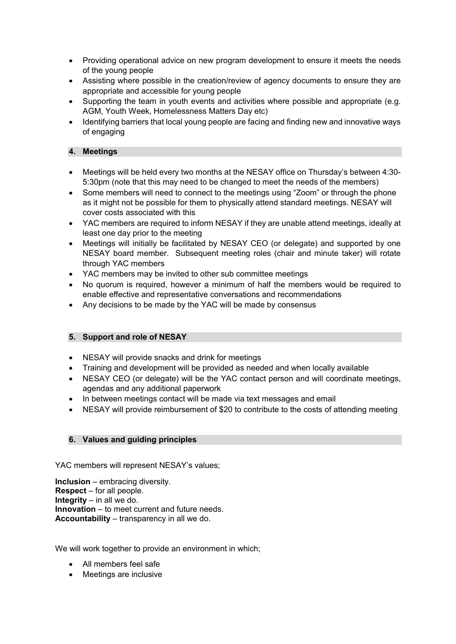- Providing operational advice on new program development to ensure it meets the needs of the young people
- Assisting where possible in the creation/review of agency documents to ensure they are appropriate and accessible for young people
- Supporting the team in youth events and activities where possible and appropriate (e.g. AGM, Youth Week, Homelessness Matters Day etc)
- Identifying barriers that local young people are facing and finding new and innovative ways of engaging

#### **4. Meetings**

- Meetings will be held every two months at the NESAY office on Thursday's between 4:30- 5:30pm (note that this may need to be changed to meet the needs of the members)
- Some members will need to connect to the meetings using "Zoom" or through the phone as it might not be possible for them to physically attend standard meetings. NESAY will cover costs associated with this
- YAC members are required to inform NESAY if they are unable attend meetings, ideally at least one day prior to the meeting
- Meetings will initially be facilitated by NESAY CEO (or delegate) and supported by one NESAY board member. Subsequent meeting roles (chair and minute taker) will rotate through YAC members
- YAC members may be invited to other sub committee meetings
- No quorum is required, however a minimum of half the members would be required to enable effective and representative conversations and recommendations
- Any decisions to be made by the YAC will be made by consensus

# **5. Support and role of NESAY**

- NESAY will provide snacks and drink for meetings
- Training and development will be provided as needed and when locally available
- NESAY CEO (or delegate) will be the YAC contact person and will coordinate meetings, agendas and any additional paperwork
- In between meetings contact will be made via text messages and email
- NESAY will provide reimbursement of \$20 to contribute to the costs of attending meeting

#### **6. Values and guiding principles**

YAC members will represent NESAY's values;

**Inclusion** – embracing diversity. **Respect** – for all people. **Integrity** – in all we do. **Innovation** – to meet current and future needs. **Accountability** – transparency in all we do.

We will work together to provide an environment in which:

- All members feel safe
- Meetings are inclusive